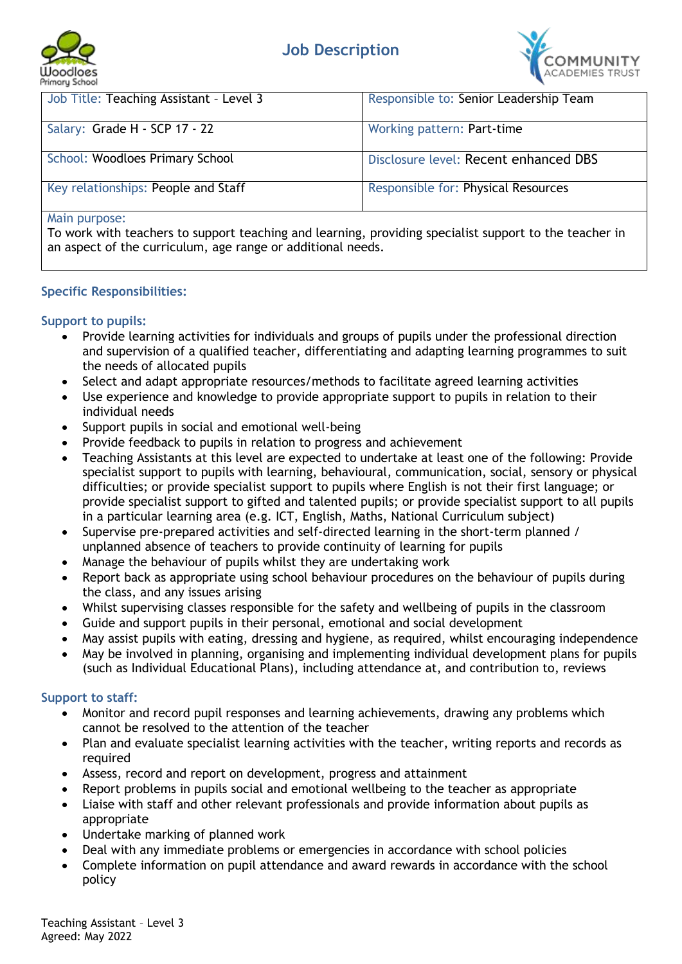





| Job Title: Teaching Assistant - Level 3 | Responsible to: Senior Leadership Team |
|-----------------------------------------|----------------------------------------|
| Salary: Grade H - SCP 17 - 22           | Working pattern: Part-time             |
| School: Woodloes Primary School         | Disclosure level: Recent enhanced DBS  |
| Key relationships: People and Staff     | Responsible for: Physical Resources    |
| $M \sim \infty$                         |                                        |

#### Main purpose:

To work with teachers to support teaching and learning, providing specialist support to the teacher in an aspect of the curriculum, age range or additional needs.

#### **Specific Responsibilities:**

### **Support to pupils:**

- Provide learning activities for individuals and groups of pupils under the professional direction and supervision of a qualified teacher, differentiating and adapting learning programmes to suit the needs of allocated pupils
- Select and adapt appropriate resources/methods to facilitate agreed learning activities
- Use experience and knowledge to provide appropriate support to pupils in relation to their individual needs
- Support pupils in social and emotional well-being
- Provide feedback to pupils in relation to progress and achievement
- Teaching Assistants at this level are expected to undertake at least one of the following: Provide specialist support to pupils with learning, behavioural, communication, social, sensory or physical difficulties; or provide specialist support to pupils where English is not their first language; or provide specialist support to gifted and talented pupils; or provide specialist support to all pupils in a particular learning area (e.g. ICT, English, Maths, National Curriculum subject)
- Supervise pre-prepared activities and self-directed learning in the short-term planned / unplanned absence of teachers to provide continuity of learning for pupils
- Manage the behaviour of pupils whilst they are undertaking work
- Report back as appropriate using school behaviour procedures on the behaviour of pupils during the class, and any issues arising
- Whilst supervising classes responsible for the safety and wellbeing of pupils in the classroom
- Guide and support pupils in their personal, emotional and social development
- May assist pupils with eating, dressing and hygiene, as required, whilst encouraging independence
- May be involved in planning, organising and implementing individual development plans for pupils (such as Individual Educational Plans), including attendance at, and contribution to, reviews

#### **Support to staff:**

- Monitor and record pupil responses and learning achievements, drawing any problems which cannot be resolved to the attention of the teacher
- Plan and evaluate specialist learning activities with the teacher, writing reports and records as required
- Assess, record and report on development, progress and attainment
- Report problems in pupils social and emotional wellbeing to the teacher as appropriate
- Liaise with staff and other relevant professionals and provide information about pupils as appropriate
- Undertake marking of planned work
- Deal with any immediate problems or emergencies in accordance with school policies
- Complete information on pupil attendance and award rewards in accordance with the school policy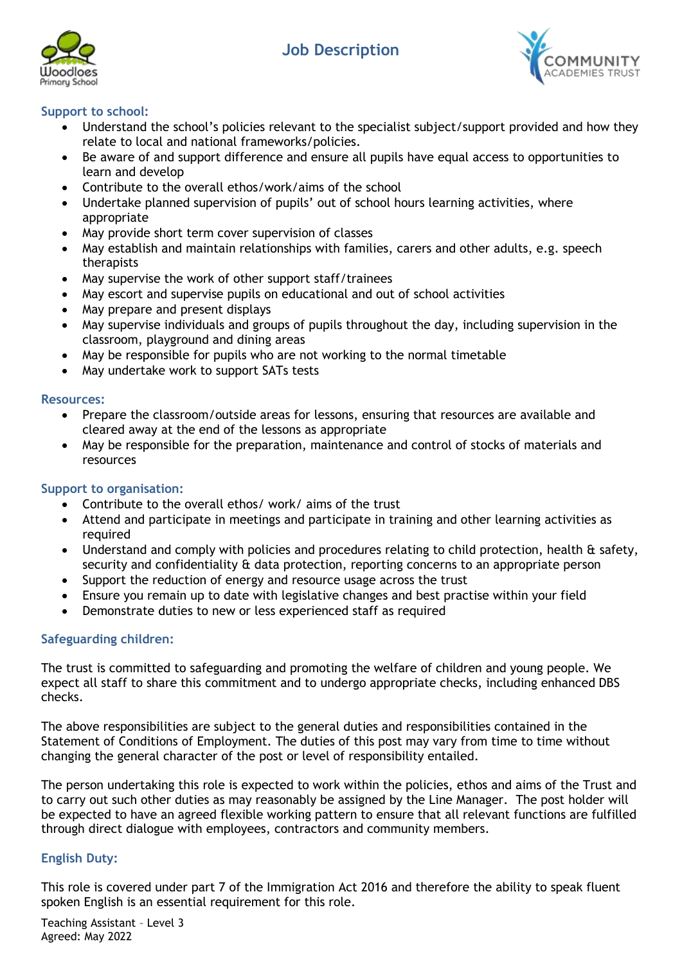## **Job Description**





### **Support to school:**

- Understand the school's policies relevant to the specialist subject/support provided and how they relate to local and national frameworks/policies.
- Be aware of and support difference and ensure all pupils have equal access to opportunities to learn and develop
- Contribute to the overall ethos/work/aims of the school
- Undertake planned supervision of pupils' out of school hours learning activities, where appropriate
- May provide short term cover supervision of classes
- May establish and maintain relationships with families, carers and other adults, e.g. speech therapists
- May supervise the work of other support staff/trainees
- May escort and supervise pupils on educational and out of school activities
- May prepare and present displays
- May supervise individuals and groups of pupils throughout the day, including supervision in the classroom, playground and dining areas
- May be responsible for pupils who are not working to the normal timetable
- May undertake work to support SATs tests

#### **Resources:**

- Prepare the classroom/outside areas for lessons, ensuring that resources are available and cleared away at the end of the lessons as appropriate
- May be responsible for the preparation, maintenance and control of stocks of materials and resources

#### **Support to organisation:**

- Contribute to the overall ethos/ work/ aims of the trust
- Attend and participate in meetings and participate in training and other learning activities as required
- Understand and comply with policies and procedures relating to child protection, health & safety, security and confidentiality & data protection, reporting concerns to an appropriate person
- Support the reduction of energy and resource usage across the trust
- Ensure you remain up to date with legislative changes and best practise within your field
- Demonstrate duties to new or less experienced staff as required

#### **Safeguarding children:**

The trust is committed to safeguarding and promoting the welfare of children and young people. We expect all staff to share this commitment and to undergo appropriate checks, including enhanced DBS checks.

The above responsibilities are subject to the general duties and responsibilities contained in the Statement of Conditions of Employment. The duties of this post may vary from time to time without changing the general character of the post or level of responsibility entailed.

The person undertaking this role is expected to work within the policies, ethos and aims of the Trust and to carry out such other duties as may reasonably be assigned by the Line Manager. The post holder will be expected to have an agreed flexible working pattern to ensure that all relevant functions are fulfilled through direct dialogue with employees, contractors and community members.

#### **English Duty:**

This role is covered under part 7 of the Immigration Act 2016 and therefore the ability to speak fluent spoken English is an essential requirement for this role.

Teaching Assistant – Level 3 Agreed: May 2022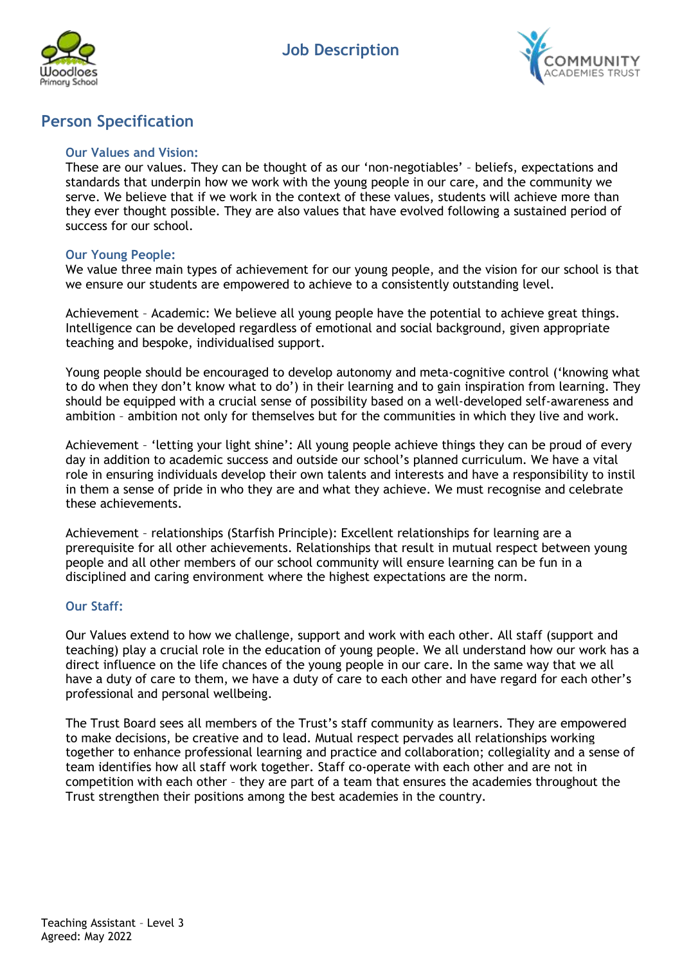



## **Person Specification**

#### **Our Values and Vision:**

These are our values. They can be thought of as our 'non-negotiables' – beliefs, expectations and standards that underpin how we work with the young people in our care, and the community we serve. We believe that if we work in the context of these values, students will achieve more than they ever thought possible. They are also values that have evolved following a sustained period of success for our school.

#### **Our Young People:**

We value three main types of achievement for our young people, and the vision for our school is that we ensure our students are empowered to achieve to a consistently outstanding level.

Achievement – Academic: We believe all young people have the potential to achieve great things. Intelligence can be developed regardless of emotional and social background, given appropriate teaching and bespoke, individualised support.

Young people should be encouraged to develop autonomy and meta-cognitive control ('knowing what to do when they don't know what to do') in their learning and to gain inspiration from learning. They should be equipped with a crucial sense of possibility based on a well-developed self-awareness and ambition – ambition not only for themselves but for the communities in which they live and work.

Achievement – 'letting your light shine': All young people achieve things they can be proud of every day in addition to academic success and outside our school's planned curriculum. We have a vital role in ensuring individuals develop their own talents and interests and have a responsibility to instil in them a sense of pride in who they are and what they achieve. We must recognise and celebrate these achievements.

Achievement – relationships (Starfish Principle): Excellent relationships for learning are a prerequisite for all other achievements. Relationships that result in mutual respect between young people and all other members of our school community will ensure learning can be fun in a disciplined and caring environment where the highest expectations are the norm.

#### **Our Staff:**

Our Values extend to how we challenge, support and work with each other. All staff (support and teaching) play a crucial role in the education of young people. We all understand how our work has a direct influence on the life chances of the young people in our care. In the same way that we all have a duty of care to them, we have a duty of care to each other and have regard for each other's professional and personal wellbeing.

The Trust Board sees all members of the Trust's staff community as learners. They are empowered to make decisions, be creative and to lead. Mutual respect pervades all relationships working together to enhance professional learning and practice and collaboration; collegiality and a sense of team identifies how all staff work together. Staff co-operate with each other and are not in competition with each other – they are part of a team that ensures the academies throughout the Trust strengthen their positions among the best academies in the country.